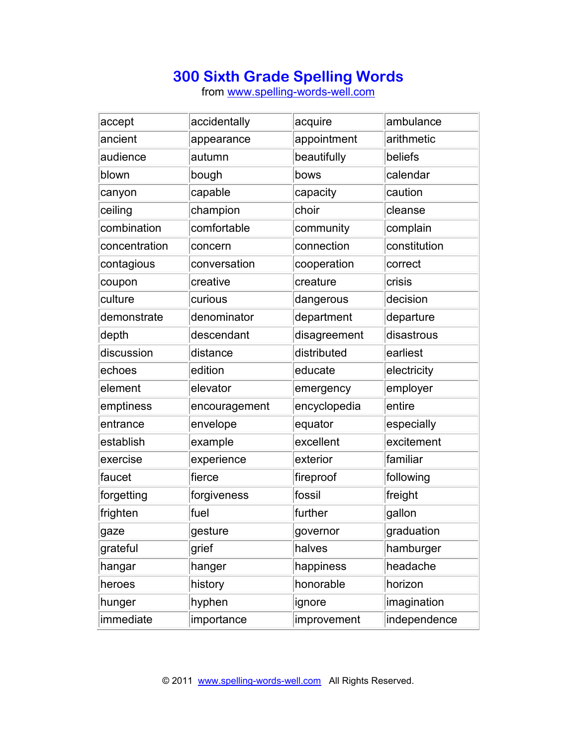## **300 Sixth Grade Spelling Words**

from www.spelling-words-well.com

| accept        | accidentally  | acquire      | ambulance    |
|---------------|---------------|--------------|--------------|
| ancient       | appearance    | appointment  | arithmetic   |
| audience      | autumn        | beautifully  | beliefs      |
| blown         | bough         | bows         | calendar     |
| canyon        | capable       | capacity     | caution      |
| ceiling       | champion      | choir        | cleanse      |
| combination   | comfortable   | community    | complain     |
| concentration | concern       | connection   | constitution |
| contagious    | conversation  | cooperation  | correct      |
| coupon        | creative      | creature     | crisis       |
| culture       | curious       | dangerous    | decision     |
| demonstrate   | denominator   | department   | departure    |
| depth         | descendant    | disagreement | disastrous   |
| discussion    | distance      | distributed  | earliest     |
| echoes        | edition       | educate      | electricity  |
| element       | elevator      | emergency    | employer     |
| emptiness     | encouragement | encyclopedia | entire       |
| entrance      | envelope      | equator      | especially   |
| establish     | example       | excellent    | excitement   |
| exercise      | experience    | exterior     | familiar     |
| faucet        | fierce        | fireproof    | following    |
| forgetting    | forgiveness   | fossil       | freight      |
| frighten      | fuel          | further      | gallon       |
| gaze          | gesture       | governor     | graduation   |
| grateful      | grief         | halves       | hamburger    |
| hangar        | hanger        | happiness    | headache     |
| heroes        | history       | honorable    | horizon      |
| hunger        | hyphen        | ignore       | imagination  |
| immediate     | importance    | improvement  | independence |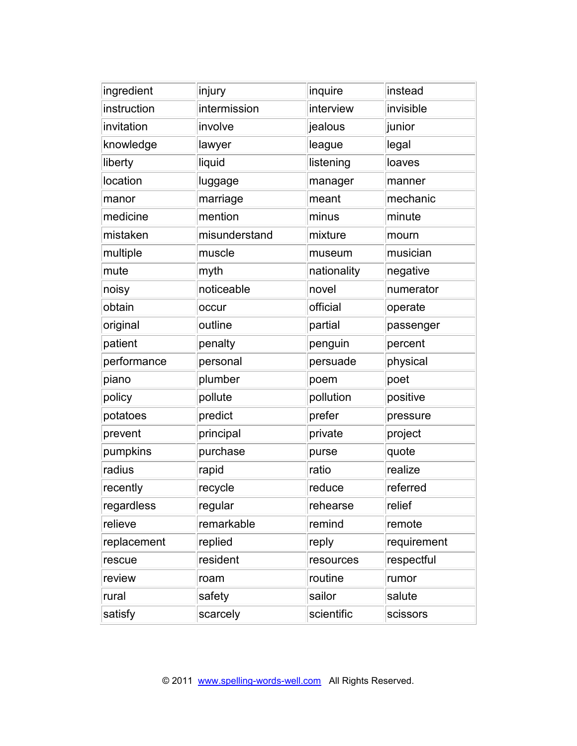| ingredient  | injury        | inquire     | instead     |
|-------------|---------------|-------------|-------------|
| instruction | intermission  | interview   | invisible   |
| invitation  | involve       | jealous     | junior      |
| knowledge   | lawyer        | league      | legal       |
| liberty     | liquid        | listening   | loaves      |
| location    | luggage       | manager     | manner      |
| manor       | marriage      | meant       | mechanic    |
| medicine    | mention       | minus       | minute      |
| mistaken    | misunderstand | mixture     | mourn       |
| multiple    | muscle        | museum      | musician    |
| mute        | myth          | nationality | negative    |
| noisy       | noticeable    | novel       | numerator   |
| obtain      | occur         | official    | operate     |
| original    | outline       | partial     | passenger   |
| patient     | penalty       | penguin     | percent     |
| performance | personal      | persuade    | physical    |
| piano       | plumber       | poem        | poet        |
| policy      | pollute       | pollution   | positive    |
| potatoes    | predict       | prefer      | pressure    |
| prevent     | principal     | private     | project     |
| pumpkins    | purchase      | purse       | quote       |
| radius      | rapid         | ratio       | realize     |
| recently    | recycle       | reduce      | referred    |
| regardless  | regular       | rehearse    | relief      |
| relieve     | remarkable    | remind      | remote      |
| replacement | replied       | reply       | requirement |
| rescue      | resident      | resources   | respectful  |
| review      | roam          | routine     | rumor       |
| rural       | safety        | sailor      | salute      |
| satisfy     | scarcely      | scientific  | scissors    |